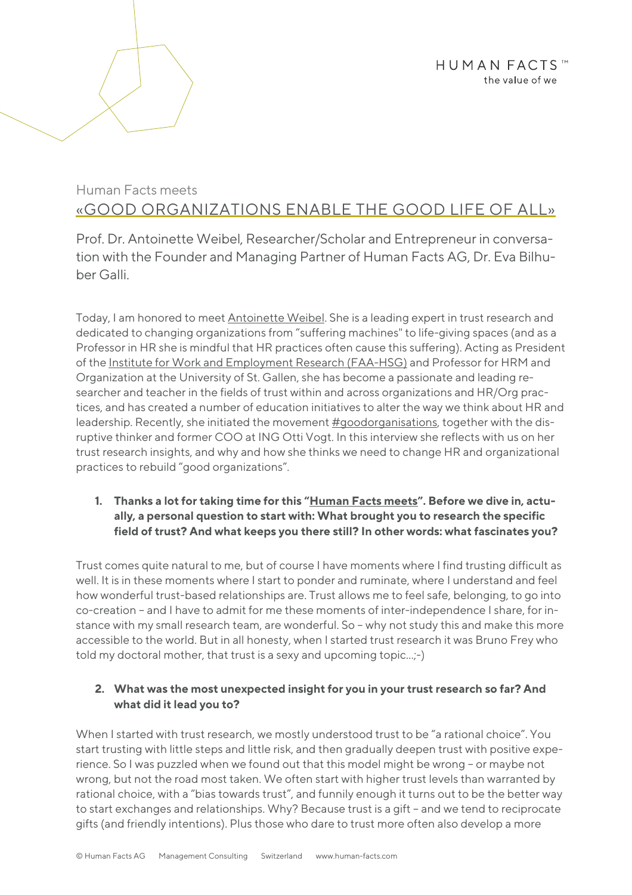# Human Facts meets «GOOD ORGANIZATIONS ENABLE THE GOOD LIFE OF ALL»

Prof. Dr. Antoinette Weibel, Researcher/Scholar and Entrepreneur in conversation with the Founder and Managing Partner of Human Facts AG, Dr. Eva Bilhuber Galli.

Today, I am honored to meet Antoinette Weibel. She is a leading expert in trust research and dedicated to changing organizations from "suffering machines" to life-giving spaces (and as a Professor in HR she is mindful that HR practices often cause this suffering). Acting as President of the Institute for Work and Employment Research (FAA-HSG) and Professor for HRM and Organization at the University of St. Gallen, she has become a passionate and leading researcher and teacher in the fields of trust within and across organizations and HR/Org practices, and has created a number of education initiatives to alter the way we think about HR and leadership. Recently, she initiated the movement #goodorganisations, together with the disruptive thinker and former COO at ING Otti Vogt. In this interview she reflects with us on her trust research insights, and why and how she thinks we need to change HR and organizational practices to rebuild "good organizations".

### **1. Thanks a lot for taking time for this "Human Facts meets". Before we dive in, actually, a personal question to start with: What brought you to research the specific field of trust? And what keeps you there still? In other words: what fascinates you?**

Trust comes quite natural to me, but of course I have moments where I find trusting difficult as well. It is in these moments where I start to ponder and ruminate, where I understand and feel how wonderful trust-based relationships are. Trust allows me to feel safe, belonging, to go into co-creation – and I have to admit for me these moments of inter-independence I share, for instance with my small research team, are wonderful. So – why not study this and make this more accessible to the world. But in all honesty, when I started trust research it was Bruno Frey who told my doctoral mother, that trust is a sexy and upcoming topic…;-)

# **2. What was the most unexpected insight for you in your trust research so far? And what did it lead you to?**

When I started with trust research, we mostly understood trust to be "a rational choice". You start trusting with little steps and little risk, and then gradually deepen trust with positive experience. So I was puzzled when we found out that this model might be wrong – or maybe not wrong, but not the road most taken. We often start with higher trust levels than warranted by rational choice, with a "bias towards trust", and funnily enough it turns out to be the better way to start exchanges and relationships. Why? Because trust is a gift – and we tend to reciprocate gifts (and friendly intentions). Plus those who dare to trust more often also develop a more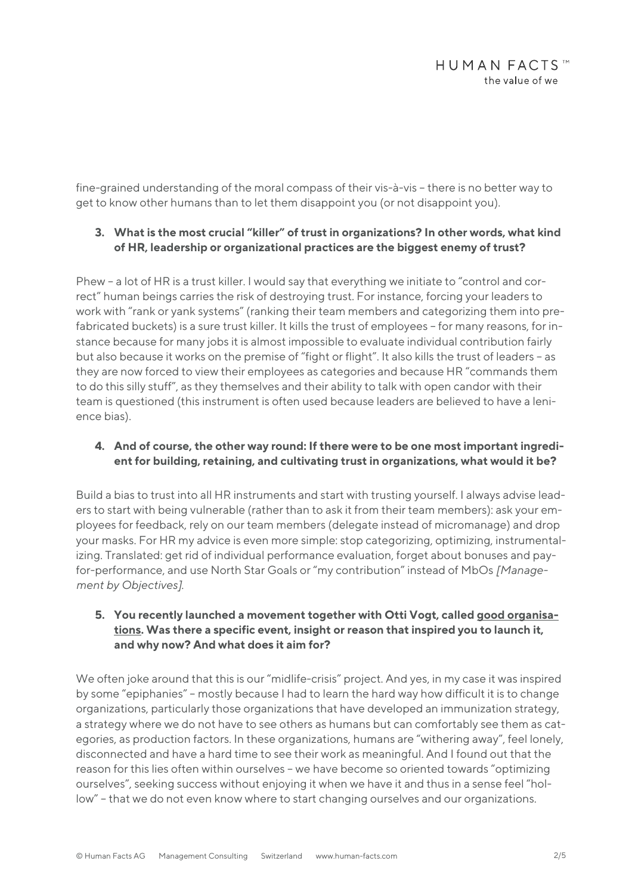fine-grained understanding of the moral compass of their vis-à-vis – there is no better way to get to know other humans than to let them disappoint you (or not disappoint you).

# **3. What is the most crucial "killer" of trust in organizations? In other words, what kind of HR, leadership or organizational practices are the biggest enemy of trust?**

Phew – a lot of HR is a trust killer. I would say that everything we initiate to "control and correct" human beings carries the risk of destroying trust. For instance, forcing your leaders to work with "rank or yank systems" (ranking their team members and categorizing them into prefabricated buckets) is a sure trust killer. It kills the trust of employees – for many reasons, for instance because for many jobs it is almost impossible to evaluate individual contribution fairly but also because it works on the premise of "fight or flight". It also kills the trust of leaders – as they are now forced to view their employees as categories and because HR "commands them to do this silly stuff", as they themselves and their ability to talk with open candor with their team is questioned (this instrument is often used because leaders are believed to have a lenience bias).

### **4. And of course, the other way round: If there were to be one most important ingredient for building, retaining, and cultivating trust in organizations, what would it be?**

Build a bias to trust into all HR instruments and start with trusting yourself. I always advise leaders to start with being vulnerable (rather than to ask it from their team members): ask your employees for feedback, rely on our team members (delegate instead of micromanage) and drop your masks. For HR my advice is even more simple: stop categorizing, optimizing, instrumentalizing. Translated: get rid of individual performance evaluation, forget about bonuses and payfor-performance, and use North Star Goals or "my contribution" instead of MbOs *[Management by Objectives]*.

#### **5. You recently launched a movement together with Otti Vogt, called good organisations. Was there a specific event, insight or reason that inspired you to launch it, and why now? And what does it aim for?**

We often joke around that this is our "midlife-crisis" project. And yes, in my case it was inspired by some "epiphanies" – mostly because I had to learn the hard way how difficult it is to change organizations, particularly those organizations that have developed an immunization strategy, a strategy where we do not have to see others as humans but can comfortably see them as categories, as production factors. In these organizations, humans are "withering away", feel lonely, disconnected and have a hard time to see their work as meaningful. And I found out that the reason for this lies often within ourselves – we have become so oriented towards "optimizing ourselves", seeking success without enjoying it when we have it and thus in a sense feel "hollow" – that we do not even know where to start changing ourselves and our organizations.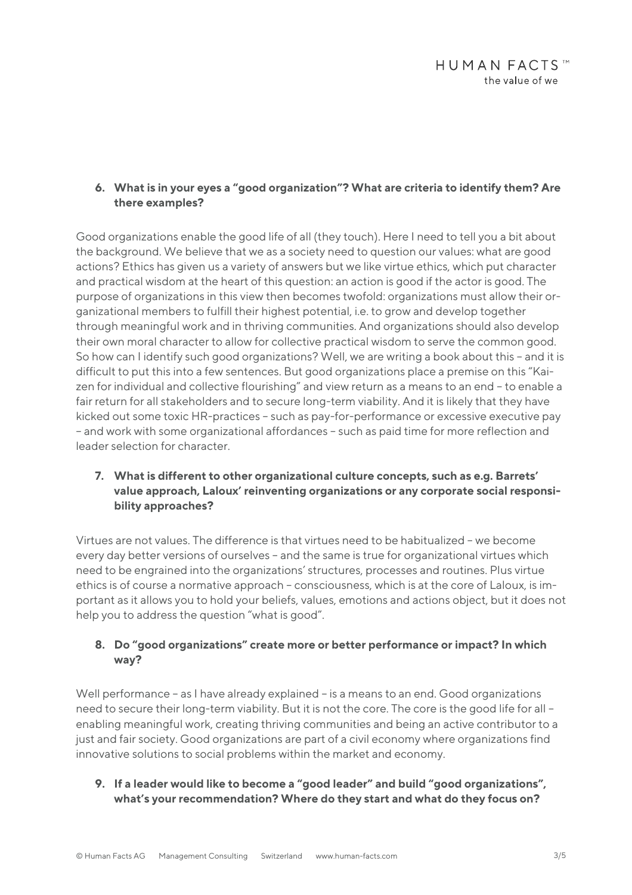#### **6. What is in your eyes a "good organization"? What are criteria to identify them? Are there examples?**

Good organizations enable the good life of all (they touch). Here I need to tell you a bit about the background. We believe that we as a society need to question our values: what are good actions? Ethics has given us a variety of answers but we like virtue ethics, which put character and practical wisdom at the heart of this question: an action is good if the actor is good. The purpose of organizations in this view then becomes twofold: organizations must allow their organizational members to fulfill their highest potential, i.e. to grow and develop together through meaningful work and in thriving communities. And organizations should also develop their own moral character to allow for collective practical wisdom to serve the common good. So how can I identify such good organizations? Well, we are writing a book about this – and it is difficult to put this into a few sentences. But good organizations place a premise on this "Kaizen for individual and collective flourishing" and view return as a means to an end – to enable a fair return for all stakeholders and to secure long-term viability. And it is likely that they have kicked out some toxic HR-practices – such as pay-for-performance or excessive executive pay – and work with some organizational affordances – such as paid time for more reflection and leader selection for character.

### **7. What is different to other organizational culture concepts, such as e.g. Barrets' value approach, Laloux' reinventing organizations or any corporate social responsibility approaches?**

Virtues are not values. The difference is that virtues need to be habitualized – we become every day better versions of ourselves – and the same is true for organizational virtues which need to be engrained into the organizations' structures, processes and routines. Plus virtue ethics is of course a normative approach – consciousness, which is at the core of Laloux, is important as it allows you to hold your beliefs, values, emotions and actions object, but it does not help you to address the question "what is good".

### **8. Do "good organizations" create more or better performance or impact? In which way?**

Well performance – as I have already explained – is a means to an end. Good organizations need to secure their long-term viability. But it is not the core. The core is the good life for all – enabling meaningful work, creating thriving communities and being an active contributor to a just and fair society. Good organizations are part of a civil economy where organizations find innovative solutions to social problems within the market and economy.

**9. If a leader would like to become a "good leader" and build "good organizations", what's your recommendation? Where do they start and what do they focus on?**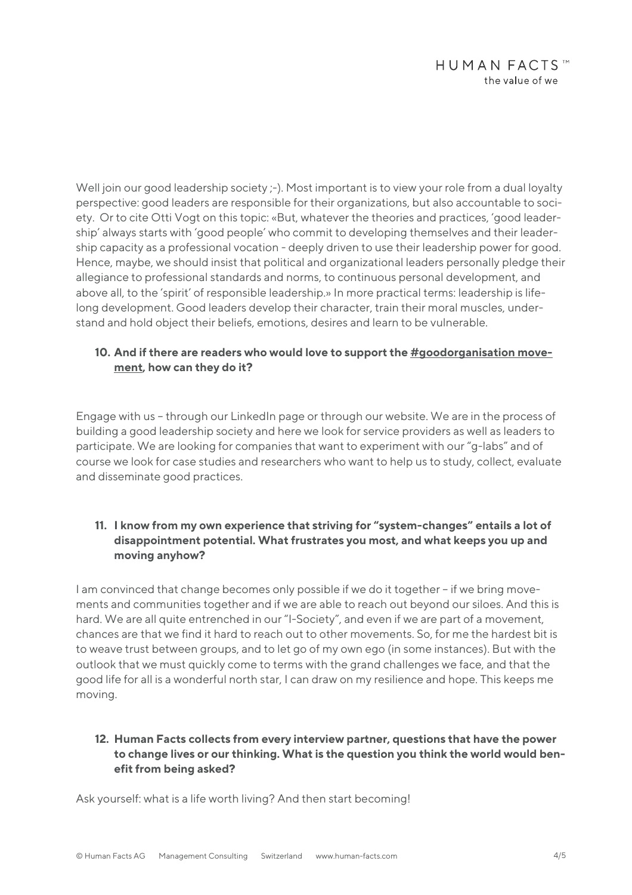Well join our good leadership society :-). Most important is to view your role from a dual loyalty perspective: good leaders are responsible for their organizations, but also accountable to society. Or to cite Otti Vogt on this topic: «But, whatever the theories and practices, 'good leadership' always starts with 'good people' who commit to developing themselves and their leadership capacity as a professional vocation - deeply driven to use their leadership power for good. Hence, maybe, we should insist that political and organizational leaders personally pledge their allegiance to professional standards and norms, to continuous personal development, and above all, to the 'spirit' of responsible leadership.» In more practical terms: leadership is lifelong development. Good leaders develop their character, train their moral muscles, understand and hold object their beliefs, emotions, desires and learn to be vulnerable.

### **10. And if there are readers who would love to support the #goodorganisation movement, how can they do it?**

Engage with us – through our LinkedIn page or through our website. We are in the process of building a good leadership society and here we look for service providers as well as leaders to participate. We are looking for companies that want to experiment with our "g-labs" and of course we look for case studies and researchers who want to help us to study, collect, evaluate and disseminate good practices.

# **11. I know from my own experience that striving for "system-changes" entails a lot of disappointment potential. What frustrates you most, and what keeps you up and moving anyhow?**

I am convinced that change becomes only possible if we do it together – if we bring movements and communities together and if we are able to reach out beyond our siloes. And this is hard. We are all quite entrenched in our "I-Society", and even if we are part of a movement, chances are that we find it hard to reach out to other movements. So, for me the hardest bit is to weave trust between groups, and to let go of my own ego (in some instances). But with the outlook that we must quickly come to terms with the grand challenges we face, and that the good life for all is a wonderful north star, I can draw on my resilience and hope. This keeps me moving.

# **12. Human Facts collects from every interview partner, questions that have the power to change lives or our thinking. What is the question you think the world would benefit from being asked?**

Ask yourself: what is a life worth living? And then start becoming!